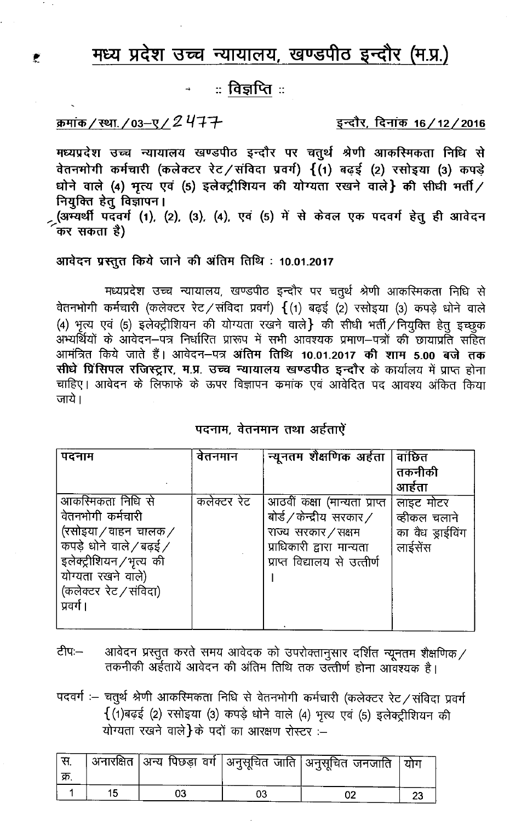# मध्य प्रदेश उच्च न्यायालय, खण्डपीठ इन्दौर (म.प्र.)

## ः विज्ञप्तिः

क्रमांक/स्था./03-ए/2477

 $\mathbf{r}$ 

इन्दौर, दिनांक 16/12/2016

मध्यप्रदेश उच्च न्यायालय खण्डपीठ इन्दौर पर चतुर्थ श्रेणी आकस्मिकता निधि से वेतनभोगी कर्मचारी (कलेक्टर रेट/संविदा प्रवर्ग) {(1) बढ़ई (2) रसोइया (3) कपड़े धोने वाले (4) भृत्य एवं (5) इलेक्ट्रीशियन की योग्यता रखने वाले} की सीधी भर्ती / नियुक्ति हेतु विज्ञापन।

(अभ्यर्थी पदवर्ग (1), (2), (3), (4), एवं (5) में से केवल एक पदवर्ग हेतु ही आवेदन कर सकता है)

### आवेदन प्रस्तुत किये जाने की अंतिम तिथि: 10.01.2017

मध्यप्रदेश उच्च न्यायालय, खण्डपीठ इन्दौर पर चतुर्थ श्रेणी आकस्मिकता निधि से वेतनभोगी कर्मचारी (कलेक्टर रेट / संविदा प्रवर्ग)  $\{$  (1) बढ़ई (2) रसोइया (3) कपड़े धोने वाले (4) भृत्य एवं (5) इलेक्ट्रीशियन की योग्यता रखने वाले} की सीधी भर्ती / नियुक्ति हेतु इच्छुक ्<br>अभ्यर्थियों के आवेदन–पत्र निर्धारित प्रारूप में सभी आवश्यक प्रमाण–पत्रों की छायाप्रति सहित आमंत्रित किये जाते हैं। आवेदन–पत्र अंतिम तिथि 10.01.2017 की शाम 5.00 बजे तक सीधे प्रिंसिपल रजिस्ट्रार, म.प्र. उच्च न्यायालय खण्डपीठ इन्दौर के कार्यालय में प्राप्त होना चाहिए। आवेदन के लिफाफे के ऊपर विज्ञापन कमांक एवं आवेदित पद आवश्य अंकित किया जाये ।

### पदनाम, वेतनमान तथा अर्हताऐं

| पदनाम                                                                                                                                                                               | वेतनमान     | न्यूनतम शैक्षणिक अर्हता                                                                                                                                         | वाछित<br>तकनीकी<br>आर्हता                                |
|-------------------------------------------------------------------------------------------------------------------------------------------------------------------------------------|-------------|-----------------------------------------------------------------------------------------------------------------------------------------------------------------|----------------------------------------------------------|
| आकस्मिकता निधि से<br>वेतनभोगी कर्मचारी<br>(रसोइया / वाहन) चालक /<br>कपड़े धोने वाले / बढ़ई /<br>इलेक्ट्रीशियन/भृत्य की<br>योग्यता रखने वाले)<br>(कलेक्टर रेट / संविदा)<br>प्रवर्ग । | कलेक्टर रेट | आठवीं कक्षा (मान्यता प्राप्त<br>बोर्ड $\sqrt{a}$ केन्द्रीय सरकार $\sqrt{a}$<br>राज्य सरकार / सक्षम<br>प्राधिकारी द्वारा मान्यता<br>प्राप्त विद्यालय से उत्तीर्ण | लाइट मोटर<br>व्हीकल चलाने<br>का वैध ड्राईविंग<br>लाईसेंस |

- आवेदन प्रस्तुत करते समय आवेदक को उपरोक्तानुसार दर्शित न्यूनतम शैक्षणिक ⁄<br>तकनीकी अर्हतायें आवेदन की अंतिम तिथि तक उत्त्तीर्ण होना आवश्यक है। ਟੀਧ:—
- पदवर्गः चतुर्थं श्रेणी आकस्मिकता निधि से वेतनभोगी कर्मचारी (कलेक्टर रेट / संविदा प्रवर्ग  $\{$  (1) बढ़ई (2) रसोइया (3) कपड़े धोने वाले (4) भृत्य एवं (5) इलेक्ट्रीशियन की योग्यता रखने वाले}के पदों का आरक्षण रोस्टर :-

|  |  | । अनारक्षित  अन्य पिछड़ा वर्ग  अनुसूचित जाति  अनुसूचित जनजाति   योग |  |
|--|--|---------------------------------------------------------------------|--|
|  |  |                                                                     |  |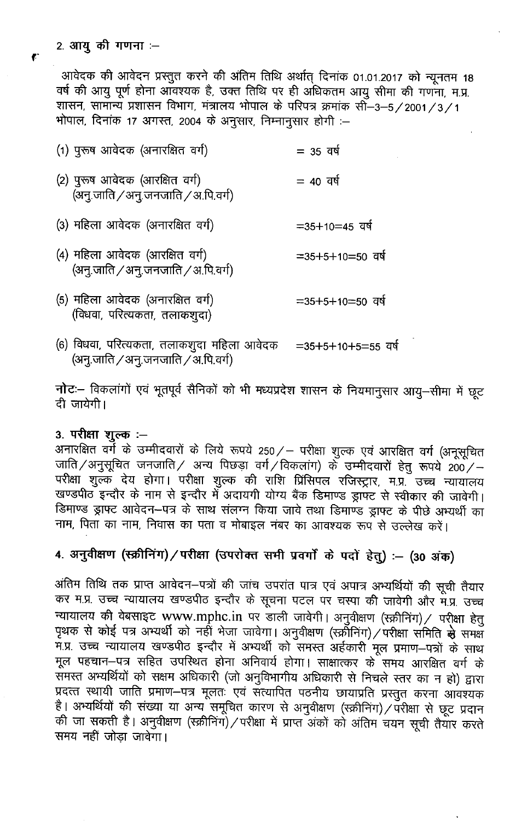$\mathbf{r}$ 

आवेदक की आवेदन प्रस्तुत करने की अंतिम तिथि अर्थात् दिनांक 01.01.2017 को न्यूनतम 18 वर्ष की आयु पूर्ण होना ऑवश्यक है, उक्त तिथि पर ही अधिकतम आयु सीमा की गणना, म.प्र. शासन, सामान्य प्रशासन विभाग, मंत्रालय भोपाल के परिपत्र क्रमांक सी -3-5/2001/3/1 भोपाल, दिनांक 17 अगस्त, 2004 के अनुसार, निम्नानुसार होगी :-

| (1) पुरूष आवेदक (अनारक्षित वर्ग)                                      | $= 35$ वर्ष       |
|-----------------------------------------------------------------------|-------------------|
| (2) पुरूष आवेदक (आरक्षित वर्ग)<br>(अनु.जाति / अनु.जनजाति / अ.पि.वर्ग) | $= 40$ वर्ष       |
| (3) महिला आवेदक (अनारक्षित वर्ग)                                      | $=35+10=45$ and   |
| (4) महिला आवेदक (आरक्षित वर्ग)<br>(अन्.जाति / अन्.जनजाति / अ.पि.वर्ग) | $=35+5+10=50$ and |
| (5) महिला आवेदक (अनारक्षित वर्ग)<br>(विधवा, परित्यकता, तलाकशुदा)      | $=35+5+10=50$ dg  |

(6) विधवा, परित्यकता, तलाकशुदा महिला आवेदक =35+5+10+5=55 वर्ष (अनु.जाति / अनु.जनजाति / अ.पि.वर्ग)

नोटः विकलांगों एवं भूतपूर्व सैनिकों को भी मध्यप्रदेश शासन के नियमानुसार आयु-सीमा में छूट दी जायेगी।

### 3. परीक्षा शुल्क :-

अनारक्षित वर्ग के उम्मीदवारों के लिये रूपये 250 / – परीक्षा शुल्क एवं आरक्षित वर्ग (अनूसूचित जाति /अनुसूचित जनजाति / अन्य पिछड़ा वर्ग /विकलांग) के उम्मीदवारों हेतु रूपये 200 / – परीक्षा शुल्क देय होगा। परीक्षा शुल्क की राशि प्रिंसिपल रजिस्ट्रार, म.प्र. उच्च न्यायालय खण्डपीठ इन्दौर के नाम से इन्दौर में अदायगी योग्य बैंक डिमाण्ड ड्राफ्ट से स्वीकार की जावेगी। डिमाण्ड ड्राफ्ट आवेदन-पत्र के साथ संलग्न किया जावे तथा डिमाण्ड ड्राफ्ट के पीछे अभ्यर्थी का नाम, पिता का नाम, निवास का पता व मोबाइल नंबर का आवश्यक रूप से उल्लेख करें।

## 4. अनुवीक्षण (स्क्रीनिंग)/परीक्षा (उपरोक्त सभी प्रवर्गों के पदों हेतु) :- (30 अंक)

अंतिम तिथि तक प्राप्त आवेदन–पत्रों की जांच उपरांत पात्र एवं अपात्र अभ्यर्थियों की सूची तैयार कर म.प्र. उच्च न्यायालय खण्डपीठ इन्दौर के सूचना पटल पर चस्पा की जावेगी और म.प्र. उच्च न्यायालय की वेबसाइट www.mphc.in पर डाली जावेगी। अनुवीक्षण (स्क्रीनिंग) / परीक्षा हेतु पृथक से कोई पत्र अभ्यर्थी को नहीं भेजा जावेगा। अनुवीक्षण (स्क्रीनिंग) / परीक्षा समिति से समक्ष म.प्र. उच्च न्यायालय खण्डपीठ इन्दौर में अभ्यर्थी को समस्त अर्हकारी मूल प्रमाण-पत्रों के साथ मूल पहचान-पत्र सहित उपस्थित होना अनिवार्य होगा। साक्षात्कर के समय आरक्षित वर्ग के समस्त अभ्यर्थियों को सक्षम अधिकारी (जो अनुविभागीय अधिकारी से निचले स्तर का न हो) द्वारा प्रदत्त स्थायी जाति प्रमाण-पत्र मूलतः एवं संत्यापित पठनीय छायाप्रति प्रस्तुत करना आवश्यक है। अभ्यर्थियों की संख्या या अन्य समूचित कारण से अनुवीक्षण (स्क्रीनिंग) / परीक्षा से छूट प्रदान की जा सकती है। अनुवीक्षण (स्क्रीनिंग)/परीक्षा में प्राप्त अंकों को अंतिम चयन सूची तैयार करते समय नहीं जोड़ा जावेगा।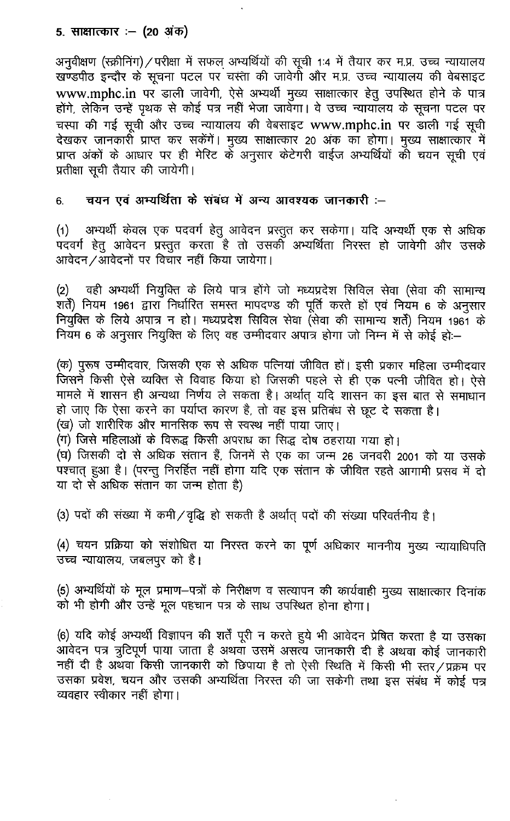### 5. साक्षात्कार :– (20 अंक)

अनुवीक्षण (स्क्रीनिंग) / परीक्षा में सफल अभ्यर्थियों की सूची 1:4 में तैयार कर म.प्र. उच्च न्यायालय खण्डपीठ इन्दौर के सूचना पटल पर चस्ता की जावेगी और म.प्र. उच्च न्यायालय की वेबसाइट www.mphc.in पर डाली जावेगी, ऐसे अभ्यर्थी मुख्य साक्षात्कार हेतु उपस्थित होने के पात्र होंगे, लेकिन उन्हें पृथक से कोई पत्र नहीं भेजा जावेगा। वे उच्च न्यायॉलय के सूचना पटल पर चस्पा की गई सूची और उच्च न्यायालय की वेबसाइट www.mphc.in पर डाली गई सूची देखकर जानकारी प्राप्त कर सकेंगें। मुख्य साक्षात्कार 20 अंक का होगा। मुख्य साक्षात्कार में प्राप्त अंकों के आधार पर ही मेरिट के अनुसार केटेगरी वाईज अभ्यर्थियों की चयन सूची एवं प्रतीक्षा सूची तैयार की जायेगी।

चयन एवं अभ्यर्थिता के संबंध में अन्य आवश्यक जानकारी :-6.

(1) अभ्यर्थी केवल एक पदवर्ग हेतु आवेदन प्रस्तुत कर सकेगा। यदि अभ्यर्थी एक से अधिक<br>पदवर्ग हेतु आवेदन प्रस्तुत करता है तो उसकी अभ्यर्थिता निरस्त हो जावेगी और उसके<br>आवेदन ⁄आवेदनों पर विचार नहीं किया जायेगा।

वही अभ्यर्थी नियुक्ति के लिये पात्र होंगे जो मध्यप्रदेश सिविल सेवा (सेवा की सामान्य  $(2)$ शर्तें) नियम 1961 द्वारा निर्धारित समस्त मापदण्ड की पूर्ति करते हो एवं नियम 6 के अनुसार<br>नियुक्ति के लिये अपात्र न हो। मध्यप्रदेश सिविल सेवा (सेवा की सामान्य शर्तें) नियम 1961 के नियम 6 के अनुसार नियुक्ति के लिए वह उम्मीदवार अपात्र होगा जो निम्न में से कोई हो:-

(क) पुरूष उम्मीदवार, जिसकी एक से अधिक पत्नियां जीवित हों। इसी प्रकार महिला उम्मीदवार जिसने किसी ऐसे व्यक्ति से विवाह किया हो जिसकी पहले से ही एक पत्नी जीवित हो। ऐसे मामले में शासन ही अन्यथा निर्णय ले सकता है। अर्थात् यदि शासन का इस बात से समाधान हो जाए कि ऐसा करने का पर्याप्त कारण है, तो वह इस प्रतिबंध से छूट दे सकता है। (ख) जो शारीरिक और मानसिक रूप से स्वस्थ नहीं पाया जाए।

(ग) जिसे महिलाओं के विरूद्ध किसी अपराध का सिद्ध दोष ठहराया गया हो।

(घ) जिसकी दो से अधिक संतान हैं, जिनमें से एक का जन्म 26 जनवरी 2001 को या उसके पश्चात् हुआ है। (परन्तु निरर्हित नहीं होगा यदि एक संतान के जीवित रहते आगामी प्रसव में दो या दो से अधिक संतान का जन्म होता है)

(3) पदों की संख्या में कमी/वृद्धि हो सकती है अर्थात् पदों की संख्या परिवर्तनीय है।

(4) चयन प्रक्रिया को संशोधित या निरस्त करने का पूर्ण अधिकार माननीय मुख्य न्यायाधिपति उच्च न्यायालय, जबलपुर को है।

(5) अभ्यर्थियों के मूल प्रमाण-पत्रों के निरीक्षण व सत्यापन की कार्यवाही मुख्य साक्षात्कार दिनांक को भी होगी और उन्हें मूल पहचान पत्र के साथ उपस्थित होना होगा।

(6) यदि कोई अभ्यर्थी विज्ञापन की शर्तें पूरी न करते हुये भी आवेदन प्रेषित करता है या उसका आवेदन पत्र त्रुटिपूर्ण पाया जाता है अथवा उसमें असत्य जानकारी दी है अथवा कोई जानकारी नहीं दी है अथवा किसी जानकारी को छिपाया है तो ऐसी स्थिति में किसी भी स्तर/प्रक्रम पर उसका प्रवेश, चयन और उसकी अभ्यर्थिता निरस्त की जा सकेगी तथा इस संबंध में कोई पत्र व्यवहार स्वीकार नहीं होगा।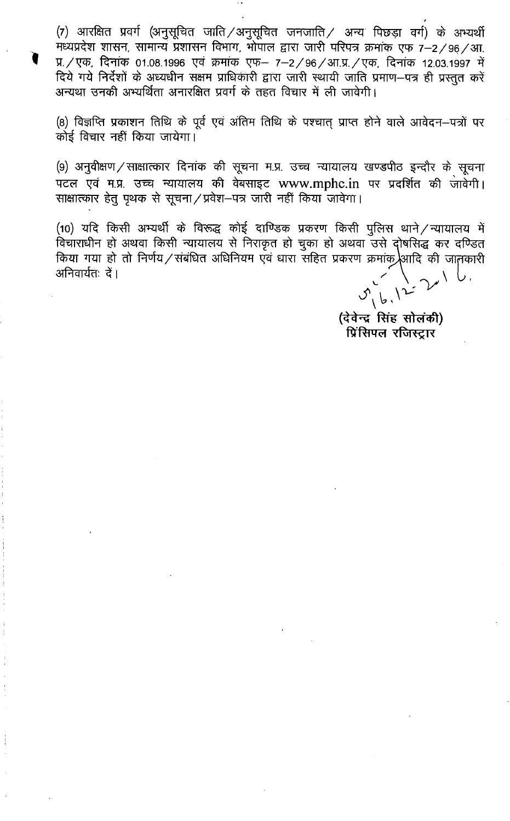(7) आरक्षित प्रवर्ग (अनुसूचित जाति / अनुसूचित जनजाति / अन्य पिछड़ा वर्ग) के अभ्यर्थी मध्यप्रदेश शासन, सामान्य प्रशासन विभाग, भोपाल द्वारा जारी परिपत्र क्रमांक एफ 7-2/96/आ. प्र. / एक, दिनांक 01.08.1996 एवं क्रमांक एफ- 7-2/96/आ.प्र. / एक, दिनांक 12.03.1997 में दिये गये निर्देशों के अध्यधीन सक्षम प्राधिकारी द्वारा जारी स्थायी जाति प्रमाण-पत्र ही प्रस्तुत करें अन्यथा उनकी अभ्यर्थिता अनारक्षित प्रवर्ग के तहत विचार में ली जावेगी।

(8) विज्ञप्ति प्रकाशन तिथि के पूर्व एवं अंतिम तिथि के पश्चात् प्राप्त होने वाले आवेदन–पत्रों पर कोई विचार नहीं किया जायेगा।

(9) अनुवीक्षण / साक्षात्कार दिनांक की सूचना म.प्र. उच्च न्यायालय खण्डपीठ इन्दौर के सूचना पटल एवं म.प्र. उच्च न्यायालय की वेबसाइट www.mphc.in पर प्रदर्शित की जावेगी। साक्षात्कार हेतु पृथक से सूचना / प्रवेश-पत्र जारी नहीं किया जावेगा।

(10) यदि किसी अभ्यर्थी के विरूद्ध कोई दाण्डिक प्रकरण किसी पुलिस थाने / न्यायालय में विचाराधीन हो अथवा किसी न्यायालय से निराकृत हो चुका हो अथवा उसे दोषसिद्ध कर दण्डित किया गया हो तो निर्णय/संबंधित अधिनियम एवं धारा सहित प्रकरण क्रमांक आदि की जातकारी अनिवार्यतः दें।

 $5.12$ 

(देवेन्द्र सिंह सोलंकी) प्रिंसिपल रजिस्ट्रार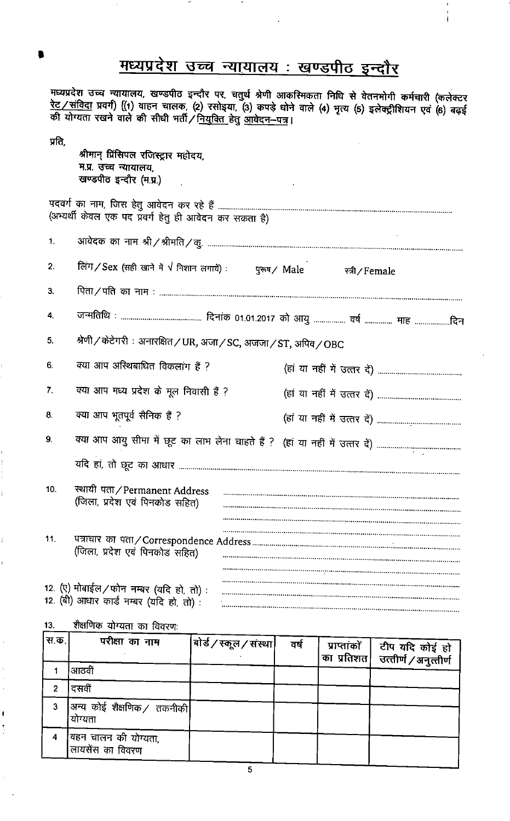# मध्यप्रदेश उच्च न्यायालय: खण्डपीठ इन्दौर

मध्यप्रदेश उच्च न्यायालय, खण्डपीठ इन्दौर पर, चतुर्थ श्रेणी आकस्मिकता निधि से वेतनभोगी कर्मचारी (कलेक्टर<br><u>रेट ⁄ संविदा</u> प्रवर्ग) {(1) वाहन चालक, (2) रसोइया, (3) कपड़े घोने वाले (4) भृत्य (5) इलेक्ट्रीशियन एवं (6) बढ़ई<br>की य

| प्रति, | श्रीमान प्रिंसिपल रजिस्ट्रार महोदय,<br>म.प्र. उच्च न्यायालय.<br>खण्डपीठ इन्दौर (म.प्र.) |                 |
|--------|-----------------------------------------------------------------------------------------|-----------------|
|        | (अभ्यर्थी केवल एक पद प्रवर्ग हेतु ही आवेदन कर सकता है)                                  |                 |
| 1.     |                                                                                         |                 |
| 2.     | लिंग / Sex (सही खाने में $\sqrt{}$ निशान लगायें) :         पुरूष / Male                 | स्त्री / Female |
| 3.     |                                                                                         |                 |
| 4.     |                                                                                         |                 |
| 5.     | श्रेणी / केटेगरी : अनारक्षित / UR, अजा / SC, अजजा / ST, अपिव / OBC                      |                 |
| 6.     | क्या आप अस्थिबाधित विकलांग हैं ?                                                        |                 |
| 7.     | क्या आप मध्य प्रदेश के मूल निवासी हैं ?                                                 |                 |
| 8.     | क्या आप भूतपूर्व सैनिक हैं ?                                                            |                 |
| 9.     | क्या आप आयु सीमा में छूट का लाभ लेना चाहते हैं ? (हां या नहीं में उत्तर दें)            |                 |
|        |                                                                                         |                 |
| 10.    | स्थायी पता/Permanent Address<br>(जिला, प्रदेश एवं पिनकोड सहित)                          |                 |
| 11.    | (जिला, प्रदेश एवं पिनकोड सहित)                                                          |                 |
|        | 12. (ए) मोबाईल/फोन नम्बर (यदि हो, तो):<br>12. (बी) आधार कार्ड नम्बर (यदि हो, तो):       |                 |
|        |                                                                                         |                 |

शैक्षणिक योग्यता का विवरणः 13.

ţ

| स.क.। | परीक्षा का नाम                            | बोर्ड / स्कूल / संस्था | ਰਖ | प्राप्तांकों   टीप यदि कोई हो<br> का प्रतिशत   उत्तीर्ण / अनुत्तीर्ण |
|-------|-------------------------------------------|------------------------|----|----------------------------------------------------------------------|
|       | आठवीं                                     |                        |    |                                                                      |
| 2     | दसवीं                                     |                        |    |                                                                      |
| 3     | अन्य कोई शैक्षणिक / तकनीकी <br>योग्यता    |                        |    |                                                                      |
| 4     | विहन चालन की योग्यता,<br>लायसेंस का विवरण |                        |    |                                                                      |

 $\overline{\mathbf{5}}$